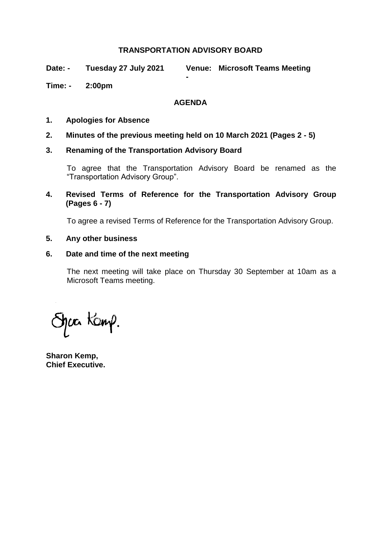# **TRANSPORTATION ADVISORY BOARD**

**-**

**Date: - Tuesday 27 July 2021 Microsoft Teams Meeting**

# **Time: - 2:00pm**

# **AGENDA**

- **1. Apologies for Absence**
- **2. Minutes of the previous meeting held on 10 March 2021 (Pages 2 - 5)**
- **3. Renaming of the Transportation Advisory Board**

To agree that the Transportation Advisory Board be renamed as the "Transportation Advisory Group".

**4. Revised Terms of Reference for the Transportation Advisory Group (Pages 6 - 7)**

To agree a revised Terms of Reference for the Transportation Advisory Group.

#### **5. Any other business**

# **6. Date and time of the next meeting**

The next meeting will take place on Thursday 30 September at 10am as a Microsoft Teams meeting.

špær Kamp.

**Sharon Kemp, Chief Executive.**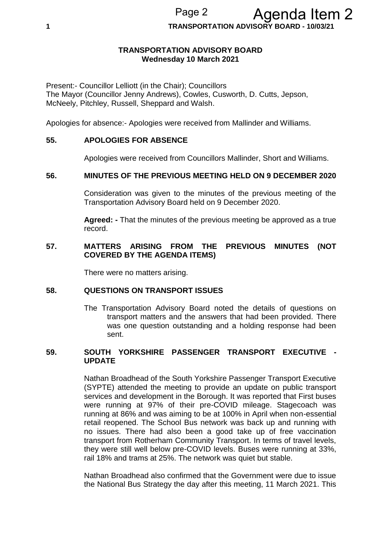**1 TRANSPORTATION ADVISORY BOARD - 10/03/21**

### **TRANSPORTATION ADVISORY BOARD Wednesday 10 March 2021**

Present:- Councillor Lelliott (in the Chair); Councillors The Mayor (Councillor Jenny Andrews), Cowles, Cusworth, D. Cutts, Jepson, McNeely, Pitchley, Russell, Sheppard and Walsh.

Apologies for absence:- Apologies were received from Mallinder and Williams.

#### **55. APOLOGIES FOR ABSENCE**

Apologies were received from Councillors Mallinder, Short and Williams.

### **56. MINUTES OF THE PREVIOUS MEETING HELD ON 9 DECEMBER 2020**

Consideration was given to the minutes of the previous meeting of the Transportation Advisory Board held on 9 December 2020.

**Agreed: -** That the minutes of the previous meeting be approved as a true record.

#### **57. MATTERS ARISING FROM THE PREVIOUS MINUTES (NOT COVERED BY THE AGENDA ITEMS)**

There were no matters arising.

#### **58. QUESTIONS ON TRANSPORT ISSUES**

The Transportation Advisory Board noted the details of questions on transport matters and the answers that had been provided. There was one question outstanding and a holding response had been sent.

#### **59. SOUTH YORKSHIRE PASSENGER TRANSPORT EXECUTIVE - UPDATE**

Nathan Broadhead of the South Yorkshire Passenger Transport Executive (SYPTE) attended the meeting to provide an update on public transport services and development in the Borough. It was reported that First buses were running at 97% of their pre-COVID mileage. Stagecoach was running at 86% and was aiming to be at 100% in April when non-essential retail reopened. The School Bus network was back up and running with no issues. There had also been a good take up of free vaccination transport from Rotherham Community Transport. In terms of travel levels, they were still well below pre-COVID levels. Buses were running at 33%, rail 18% and trams at 25%. The network was quiet but stable.

Nathan Broadhead also confirmed that the Government were due to issue the National Bus Strategy the day after this meeting, 11 March 2021. This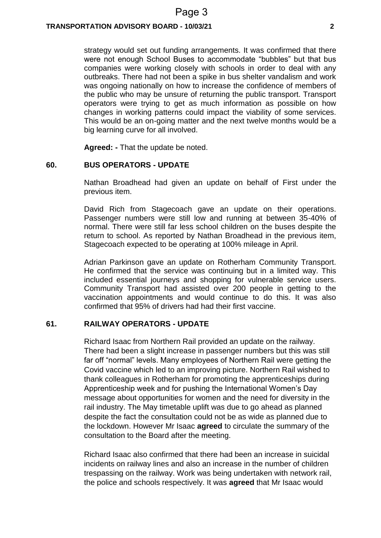#### **TRANSPORTATION ADVISORY BOARD - 10/03/21 2**

strategy would set out funding arrangements. It was confirmed that there were not enough School Buses to accommodate "bubbles" but that bus companies were working closely with schools in order to deal with any outbreaks. There had not been a spike in bus shelter vandalism and work was ongoing nationally on how to increase the confidence of members of the public who may be unsure of returning the public transport. Transport operators were trying to get as much information as possible on how changes in working patterns could impact the viability of some services. This would be an on-going matter and the next twelve months would be a big learning curve for all involved.

**Agreed: -** That the update be noted.

#### **60. BUS OPERATORS - UPDATE**

Nathan Broadhead had given an update on behalf of First under the previous item.

David Rich from Stagecoach gave an update on their operations. Passenger numbers were still low and running at between 35-40% of normal. There were still far less school children on the buses despite the return to school. As reported by Nathan Broadhead in the previous item, Stagecoach expected to be operating at 100% mileage in April.

Adrian Parkinson gave an update on Rotherham Community Transport. He confirmed that the service was continuing but in a limited way. This included essential journeys and shopping for vulnerable service users. Community Transport had assisted over 200 people in getting to the vaccination appointments and would continue to do this. It was also confirmed that 95% of drivers had had their first vaccine.

#### **61. RAILWAY OPERATORS - UPDATE**

Richard Isaac from Northern Rail provided an update on the railway. There had been a slight increase in passenger numbers but this was still far off "normal" levels. Many employees of Northern Rail were getting the Covid vaccine which led to an improving picture. Northern Rail wished to thank colleagues in Rotherham for promoting the apprenticeships during Apprenticeship week and for pushing the International Women's Day message about opportunities for women and the need for diversity in the rail industry. The May timetable uplift was due to go ahead as planned despite the fact the consultation could not be as wide as planned due to the lockdown. However Mr Isaac **agreed** to circulate the summary of the consultation to the Board after the meeting.

Richard Isaac also confirmed that there had been an increase in suicidal incidents on railway lines and also an increase in the number of children trespassing on the railway. Work was being undertaken with network rail, the police and schools respectively. It was **agreed** that Mr Isaac would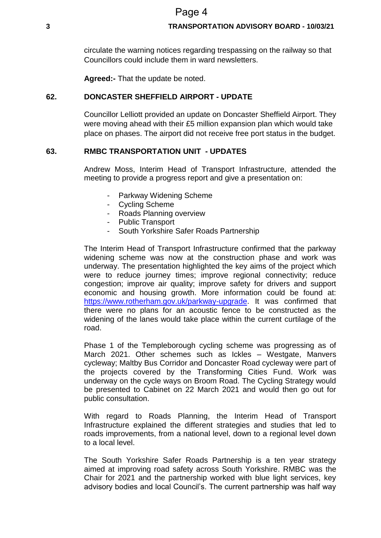# Page 4

#### **3 TRANSPORTATION ADVISORY BOARD - 10/03/21**

circulate the warning notices regarding trespassing on the railway so that Councillors could include them in ward newsletters.

**Agreed:-** That the update be noted.

# **62. DONCASTER SHEFFIELD AIRPORT - UPDATE**

Councillor Lelliott provided an update on Doncaster Sheffield Airport. They were moving ahead with their £5 million expansion plan which would take place on phases. The airport did not receive free port status in the budget.

### **63. RMBC TRANSPORTATION UNIT - UPDATES**

Andrew Moss, Interim Head of Transport Infrastructure, attended the meeting to provide a progress report and give a presentation on:

- Parkway Widening Scheme
- Cycling Scheme
- Roads Planning overview
- Public Transport
- South Yorkshire Safer Roads Partnership

The Interim Head of Transport Infrastructure confirmed that the parkway widening scheme was now at the construction phase and work was underway. The presentation highlighted the key aims of the project which were to reduce journey times; improve regional connectivity; reduce congestion; improve air quality; improve safety for drivers and support economic and housing growth. More information could be found at: [https://www.rotherham.gov.uk/parkway-upgrade.](https://www.rotherham.gov.uk/parkway-upgrade) It was confirmed that there were no plans for an acoustic fence to be constructed as the widening of the lanes would take place within the current curtilage of the road.

Phase 1 of the Templeborough cycling scheme was progressing as of March 2021. Other schemes such as Ickles – Westgate, Manvers cycleway; Maltby Bus Corridor and Doncaster Road cycleway were part of the projects covered by the Transforming Cities Fund. Work was underway on the cycle ways on Broom Road. The Cycling Strategy would be presented to Cabinet on 22 March 2021 and would then go out for public consultation.

With regard to Roads Planning, the Interim Head of Transport Infrastructure explained the different strategies and studies that led to roads improvements, from a national level, down to a regional level down to a local level.

The South Yorkshire Safer Roads Partnership is a ten year strategy aimed at improving road safety across South Yorkshire. RMBC was the Chair for 2021 and the partnership worked with blue light services, key advisory bodies and local Council's. The current partnership was half way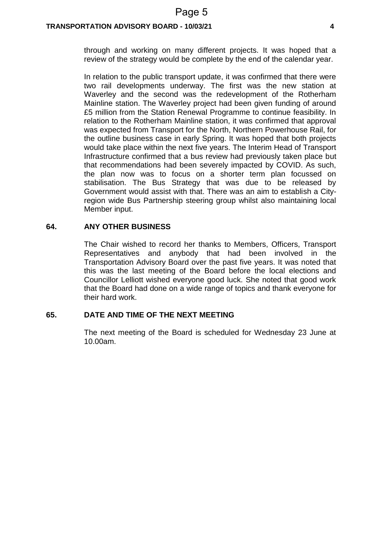#### **TRANSPORTATION ADVISORY BOARD - 10/03/21 4**

through and working on many different projects. It was hoped that a review of the strategy would be complete by the end of the calendar year.

In relation to the public transport update, it was confirmed that there were two rail developments underway. The first was the new station at Waverley and the second was the redevelopment of the Rotherham Mainline station. The Waverley project had been given funding of around £5 million from the Station Renewal Programme to continue feasibility. In relation to the Rotherham Mainline station, it was confirmed that approval was expected from Transport for the North, Northern Powerhouse Rail, for the outline business case in early Spring. It was hoped that both projects would take place within the next five years. The Interim Head of Transport Infrastructure confirmed that a bus review had previously taken place but that recommendations had been severely impacted by COVID. As such, the plan now was to focus on a shorter term plan focussed on stabilisation. The Bus Strategy that was due to be released by Government would assist with that. There was an aim to establish a Cityregion wide Bus Partnership steering group whilst also maintaining local Member input.

#### **64. ANY OTHER BUSINESS**

The Chair wished to record her thanks to Members, Officers, Transport Representatives and anybody that had been involved in the Transportation Advisory Board over the past five years. It was noted that this was the last meeting of the Board before the local elections and Councillor Lelliott wished everyone good luck. She noted that good work that the Board had done on a wide range of topics and thank everyone for their hard work.

#### **65. DATE AND TIME OF THE NEXT MEETING**

The next meeting of the Board is scheduled for Wednesday 23 June at 10.00am.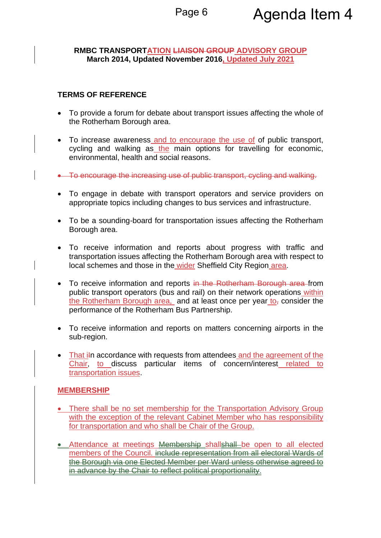# **RMBC TRANSPORTATION LIAISON GROUP ADVISORY GROUP March 2014, Updated November 2016, Updated July 2021**

# **TERMS OF REFERENCE**

- To provide a forum for debate about transport issues affecting the whole of the Rotherham Borough area.
- To increase awareness and to encourage the use of of public transport, cycling and walking as the main options for travelling for economic, environmental, health and social reasons.
- To encourage the increasing use of public transport, cycling and walking.
- To engage in debate with transport operators and service providers on appropriate topics including changes to bus services and infrastructure.
- To be a sounding-board for transportation issues affecting the Rotherham Borough area.
- To receive information and reports about progress with traffic and transportation issues affecting the Rotherham Borough area with respect to local schemes and those in the wider Sheffield City Region area.
- To receive information and reports in the Rotherham Borough area from public transport operators (bus and rail) on their network operations within the Rotherham Borough area, and at least once per year to, consider the performance of the Rotherham Bus Partnership.
- To receive information and reports on matters concerning airports in the sub-region.
- That iln accordance with requests from attendees and the agreement of the Chair, to discuss particular items of concern/interest related to transportation issues.

# **MEMBERSHIP**

- There shall be no set membership for the Transportation Advisory Group with the exception of the relevant Cabinet Member who has responsibility for transportation and who shall be Chair of the Group.
- Attendance at meetings **Membership shallshall** be open to all elected members of the Council. include representation from all electoral Wards of the Borough via one Elected Member per Ward unless otherwise agreed to in advance by the Chair to reflect political proportionality.